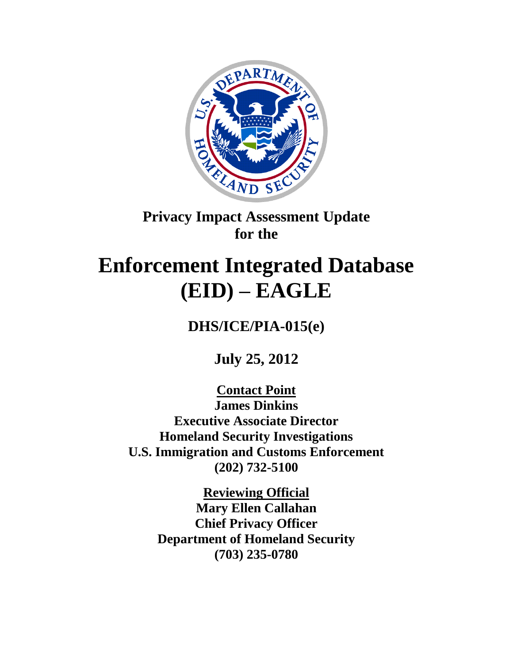

# **Privacy Impact Assessment Update for the**

# **Enforcement Integrated Database (EID) – EAGLE**

**DHS/ICE/PIA-015(e)**

**July 25, 2012**

**Contact Point James Dinkins Executive Associate Director Homeland Security Investigations U.S. Immigration and Customs Enforcement (202) 732-5100**

> **Reviewing Official Mary Ellen Callahan Chief Privacy Officer Department of Homeland Security (703) 235-0780**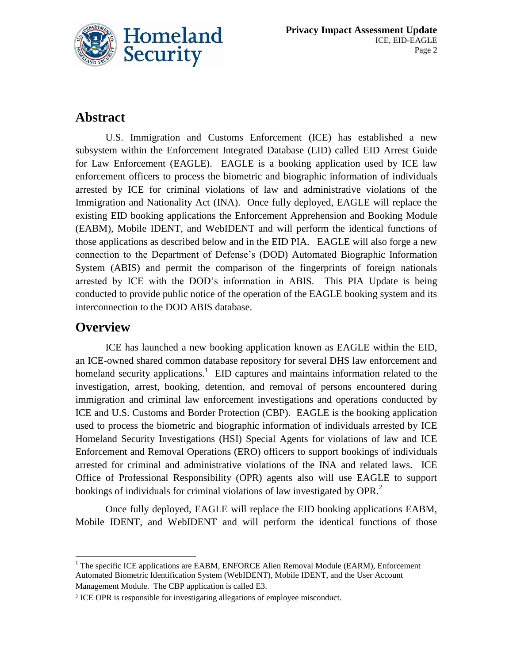

## **Abstract**

U.S. Immigration and Customs Enforcement (ICE) has established a new subsystem within the Enforcement Integrated Database (EID) called EID Arrest Guide for Law Enforcement (EAGLE). EAGLE is a booking application used by ICE law enforcement officers to process the biometric and biographic information of individuals arrested by ICE for criminal violations of law and administrative violations of the Immigration and Nationality Act (INA). Once fully deployed, EAGLE will replace the existing EID booking applications the Enforcement Apprehension and Booking Module (EABM), Mobile IDENT, and WebIDENT and will perform the identical functions of those applications as described below and in the EID PIA. EAGLE will also forge a new connection to the Department of Defense"s (DOD) Automated Biographic Information System (ABIS) and permit the comparison of the fingerprints of foreign nationals arrested by ICE with the DOD"s information in ABIS. This PIA Update is being conducted to provide public notice of the operation of the EAGLE booking system and its interconnection to the DOD ABIS database.

## **Overview**

ICE has launched a new booking application known as EAGLE within the EID, an ICE-owned shared common database repository for several DHS law enforcement and homeland security applications.<sup>1</sup> EID captures and maintains information related to the investigation, arrest, booking, detention, and removal of persons encountered during immigration and criminal law enforcement investigations and operations conducted by ICE and U.S. Customs and Border Protection (CBP). EAGLE is the booking application used to process the biometric and biographic information of individuals arrested by ICE Homeland Security Investigations (HSI) Special Agents for violations of law and ICE Enforcement and Removal Operations (ERO) officers to support bookings of individuals arrested for criminal and administrative violations of the INA and related laws. ICE Office of Professional Responsibility (OPR) agents also will use EAGLE to support bookings of individuals for criminal violations of law investigated by OPR. $^2$ 

Once fully deployed, EAGLE will replace the EID booking applications EABM, Mobile IDENT, and WebIDENT and will perform the identical functions of those

 $\overline{a}$  $1$  The specific ICE applications are EABM, ENFORCE Alien Removal Module (EARM), Enforcement Automated Biometric Identification System (WebIDENT), Mobile IDENT, and the User Account Management Module. The CBP application is called E3.

<sup>2</sup> ICE OPR is responsible for investigating allegations of employee misconduct.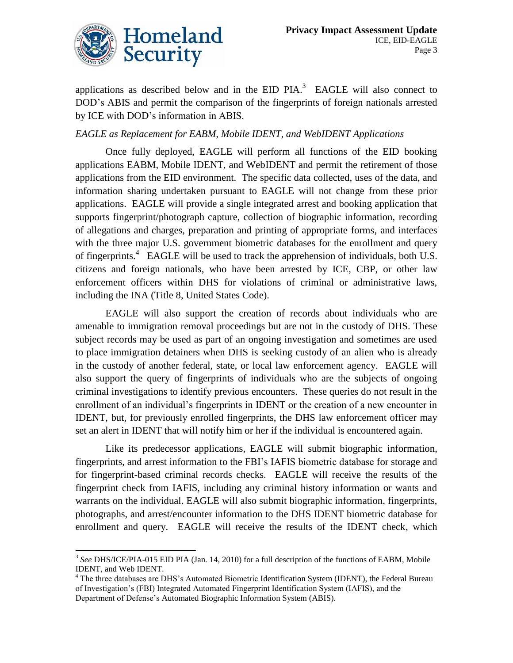

applications as described below and in the EID PIA. $3$  EAGLE will also connect to DOD"s ABIS and permit the comparison of the fingerprints of foreign nationals arrested by ICE with DOD"s information in ABIS.

#### *EAGLE as Replacement for EABM, Mobile IDENT, and WebIDENT Applications*

Once fully deployed, EAGLE will perform all functions of the EID booking applications EABM, Mobile IDENT, and WebIDENT and permit the retirement of those applications from the EID environment. The specific data collected, uses of the data, and information sharing undertaken pursuant to EAGLE will not change from these prior applications. EAGLE will provide a single integrated arrest and booking application that supports fingerprint/photograph capture, collection of biographic information, recording of allegations and charges, preparation and printing of appropriate forms, and interfaces with the three major U.S. government biometric databases for the enrollment and query of fingerprints.<sup>4</sup> EAGLE will be used to track the apprehension of individuals, both U.S. citizens and foreign nationals, who have been arrested by ICE, CBP, or other law enforcement officers within DHS for violations of criminal or administrative laws, including the INA (Title 8, United States Code).

EAGLE will also support the creation of records about individuals who are amenable to immigration removal proceedings but are not in the custody of DHS. These subject records may be used as part of an ongoing investigation and sometimes are used to place immigration detainers when DHS is seeking custody of an alien who is already in the custody of another federal, state, or local law enforcement agency. EAGLE will also support the query of fingerprints of individuals who are the subjects of ongoing criminal investigations to identify previous encounters. These queries do not result in the enrollment of an individual"s fingerprints in IDENT or the creation of a new encounter in IDENT, but, for previously enrolled fingerprints, the DHS law enforcement officer may set an alert in IDENT that will notify him or her if the individual is encountered again.

Like its predecessor applications, EAGLE will submit biographic information, fingerprints, and arrest information to the FBI"s IAFIS biometric database for storage and for fingerprint-based criminal records checks. EAGLE will receive the results of the fingerprint check from IAFIS, including any criminal history information or wants and warrants on the individual. EAGLE will also submit biographic information, fingerprints, photographs, and arrest/encounter information to the DHS IDENT biometric database for enrollment and query. EAGLE will receive the results of the IDENT check, which

<sup>&</sup>lt;sup>3</sup> See DHS/ICE/PIA-015 EID PIA (Jan. 14, 2010) for a full description of the functions of EABM, Mobile IDENT, and Web IDENT.

<sup>4</sup> The three databases are DHS"s Automated Biometric Identification System (IDENT), the Federal Bureau of Investigation"s (FBI) Integrated Automated Fingerprint Identification System (IAFIS), and the Department of Defense's Automated Biographic Information System (ABIS).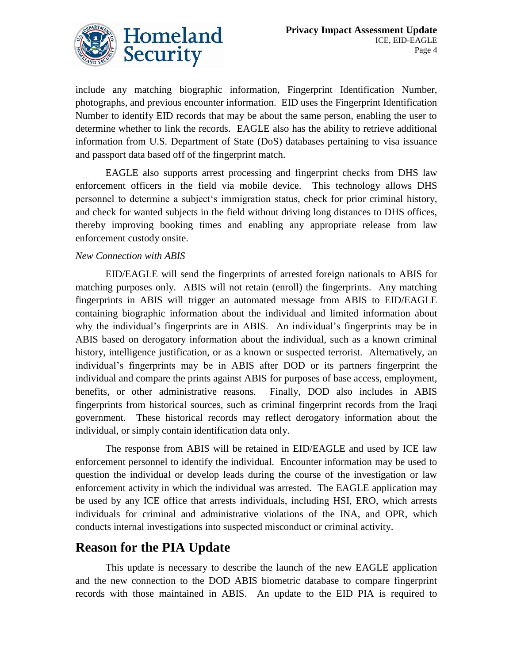

include any matching biographic information, Fingerprint Identification Number, photographs, and previous encounter information. EID uses the Fingerprint Identification Number to identify EID records that may be about the same person, enabling the user to determine whether to link the records. EAGLE also has the ability to retrieve additional information from U.S. Department of State (DoS) databases pertaining to visa issuance and passport data based off of the fingerprint match.

EAGLE also supports arrest processing and fingerprint checks from DHS law enforcement officers in the field via mobile device. This technology allows DHS personnel to determine a subject"s immigration status, check for prior criminal history, and check for wanted subjects in the field without driving long distances to DHS offices, thereby improving booking times and enabling any appropriate release from law enforcement custody onsite.

#### *New Connection with ABIS*

EID/EAGLE will send the fingerprints of arrested foreign nationals to ABIS for matching purposes only. ABIS will not retain (enroll) the fingerprints. Any matching fingerprints in ABIS will trigger an automated message from ABIS to EID/EAGLE containing biographic information about the individual and limited information about why the individual's fingerprints are in ABIS. An individual's fingerprints may be in ABIS based on derogatory information about the individual, such as a known criminal history, intelligence justification, or as a known or suspected terrorist. Alternatively, an individual"s fingerprints may be in ABIS after DOD or its partners fingerprint the individual and compare the prints against ABIS for purposes of base access, employment, benefits, or other administrative reasons. Finally, DOD also includes in ABIS fingerprints from historical sources, such as criminal fingerprint records from the Iraqi government. These historical records may reflect derogatory information about the individual, or simply contain identification data only.

The response from ABIS will be retained in EID/EAGLE and used by ICE law enforcement personnel to identify the individual. Encounter information may be used to question the individual or develop leads during the course of the investigation or law enforcement activity in which the individual was arrested. The EAGLE application may be used by any ICE office that arrests individuals, including HSI, ERO, which arrests individuals for criminal and administrative violations of the INA, and OPR, which conducts internal investigations into suspected misconduct or criminal activity.

### **Reason for the PIA Update**

This update is necessary to describe the launch of the new EAGLE application and the new connection to the DOD ABIS biometric database to compare fingerprint records with those maintained in ABIS. An update to the EID PIA is required to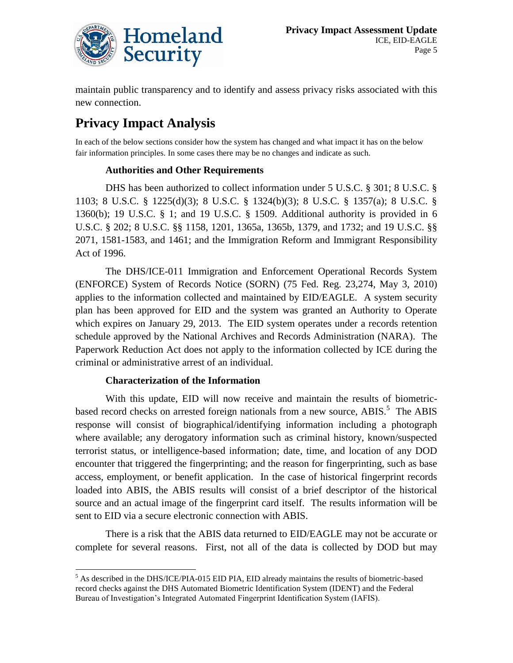

maintain public transparency and to identify and assess privacy risks associated with this new connection.

## **Privacy Impact Analysis**

In each of the below sections consider how the system has changed and what impact it has on the below fair information principles. In some cases there may be no changes and indicate as such.

#### **Authorities and Other Requirements**

DHS has been authorized to collect information under 5 U.S.C. § 301; 8 U.S.C. § 1103; 8 U.S.C. § 1225(d)(3); 8 U.S.C. § 1324(b)(3); 8 U.S.C. § 1357(a); 8 U.S.C. § 1360(b); 19 U.S.C. § 1; and 19 U.S.C. § 1509. Additional authority is provided in 6 U.S.C. § 202; 8 U.S.C. §§ 1158, 1201, 1365a, 1365b, 1379, and 1732; and 19 U.S.C. §§ 2071, 1581-1583, and 1461; and the Immigration Reform and Immigrant Responsibility Act of 1996.

The DHS/ICE-011 Immigration and Enforcement Operational Records System (ENFORCE) System of Records Notice (SORN) (75 Fed. Reg. 23,274, May 3, 2010) applies to the information collected and maintained by EID/EAGLE. A system security plan has been approved for EID and the system was granted an Authority to Operate which expires on January 29, 2013. The EID system operates under a records retention schedule approved by the National Archives and Records Administration (NARA). The Paperwork Reduction Act does not apply to the information collected by ICE during the criminal or administrative arrest of an individual.

#### **Characterization of the Information**

With this update, EID will now receive and maintain the results of biometricbased record checks on arrested foreign nationals from a new source, ABIS.<sup>5</sup> The ABIS response will consist of biographical/identifying information including a photograph where available; any derogatory information such as criminal history, known/suspected terrorist status, or intelligence-based information; date, time, and location of any DOD encounter that triggered the fingerprinting; and the reason for fingerprinting, such as base access, employment, or benefit application. In the case of historical fingerprint records loaded into ABIS, the ABIS results will consist of a brief descriptor of the historical source and an actual image of the fingerprint card itself. The results information will be sent to EID via a secure electronic connection with ABIS.

There is a risk that the ABIS data returned to EID/EAGLE may not be accurate or complete for several reasons. First, not all of the data is collected by DOD but may

 $\overline{a}$  $<sup>5</sup>$  As described in the DHS/ICE/PIA-015 EID PIA, EID already maintains the results of biometric-based</sup> record checks against the DHS Automated Biometric Identification System (IDENT) and the Federal Bureau of Investigation"s Integrated Automated Fingerprint Identification System (IAFIS).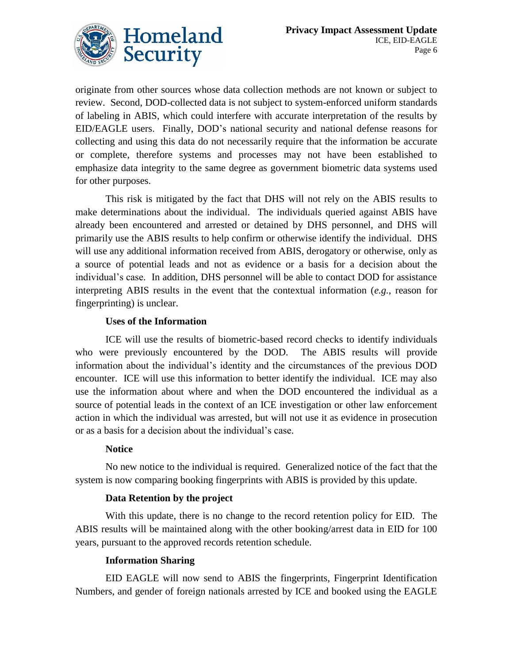

originate from other sources whose data collection methods are not known or subject to review. Second, DOD-collected data is not subject to system-enforced uniform standards of labeling in ABIS, which could interfere with accurate interpretation of the results by EID/EAGLE users. Finally, DOD"s national security and national defense reasons for collecting and using this data do not necessarily require that the information be accurate or complete, therefore systems and processes may not have been established to emphasize data integrity to the same degree as government biometric data systems used for other purposes.

This risk is mitigated by the fact that DHS will not rely on the ABIS results to make determinations about the individual. The individuals queried against ABIS have already been encountered and arrested or detained by DHS personnel, and DHS will primarily use the ABIS results to help confirm or otherwise identify the individual. DHS will use any additional information received from ABIS, derogatory or otherwise, only as a source of potential leads and not as evidence or a basis for a decision about the individual"s case. In addition, DHS personnel will be able to contact DOD for assistance interpreting ABIS results in the event that the contextual information (*e.g.*, reason for fingerprinting) is unclear.

#### **Uses of the Information**

ICE will use the results of biometric-based record checks to identify individuals who were previously encountered by the DOD. The ABIS results will provide information about the individual"s identity and the circumstances of the previous DOD encounter. ICE will use this information to better identify the individual. ICE may also use the information about where and when the DOD encountered the individual as a source of potential leads in the context of an ICE investigation or other law enforcement action in which the individual was arrested, but will not use it as evidence in prosecution or as a basis for a decision about the individual"s case.

#### **Notice**

No new notice to the individual is required. Generalized notice of the fact that the system is now comparing booking fingerprints with ABIS is provided by this update.

#### **Data Retention by the project**

With this update, there is no change to the record retention policy for EID. The ABIS results will be maintained along with the other booking/arrest data in EID for 100 years, pursuant to the approved records retention schedule.

#### **Information Sharing**

EID EAGLE will now send to ABIS the fingerprints, Fingerprint Identification Numbers, and gender of foreign nationals arrested by ICE and booked using the EAGLE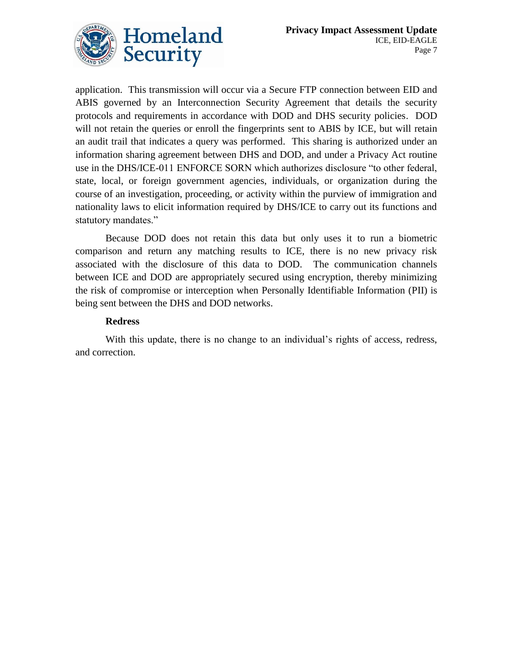

application. This transmission will occur via a Secure FTP connection between EID and ABIS governed by an Interconnection Security Agreement that details the security protocols and requirements in accordance with DOD and DHS security policies. DOD will not retain the queries or enroll the fingerprints sent to ABIS by ICE, but will retain an audit trail that indicates a query was performed. This sharing is authorized under an information sharing agreement between DHS and DOD, and under a Privacy Act routine use in the DHS/ICE-011 ENFORCE SORN which authorizes disclosure "to other federal, state, local, or foreign government agencies, individuals, or organization during the course of an investigation, proceeding, or activity within the purview of immigration and nationality laws to elicit information required by DHS/ICE to carry out its functions and statutory mandates."

Because DOD does not retain this data but only uses it to run a biometric comparison and return any matching results to ICE, there is no new privacy risk associated with the disclosure of this data to DOD. The communication channels between ICE and DOD are appropriately secured using encryption, thereby minimizing the risk of compromise or interception when Personally Identifiable Information (PII) is being sent between the DHS and DOD networks.

#### **Redress**

With this update, there is no change to an individual's rights of access, redress, and correction.